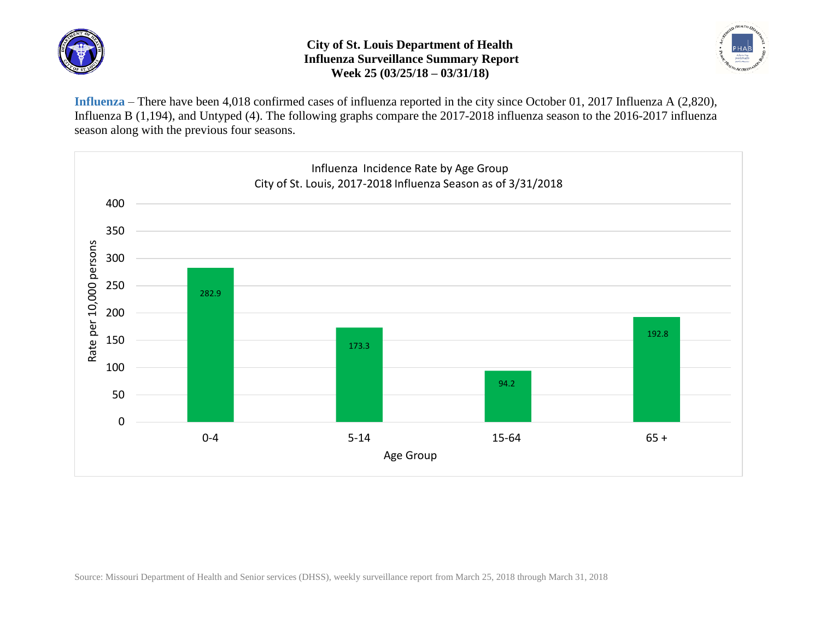

## **City of St. Louis Department of Health Influenza Surveillance Summary Report Week 25 (03/25/18 – 03/31/18)**



**Influenza** – There have been 4,018 confirmed cases of influenza reported in the city since October 01, 2017 Influenza A (2,820), Influenza B (1,194), and Untyped (4). The following graphs compare the 2017-2018 influenza season to the 2016-2017 influenza season along with the previous four seasons.